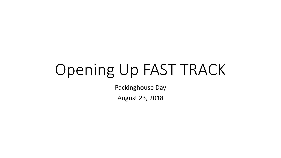# Opening Up FAST TRACK

Packinghouse Day

August 23, 2018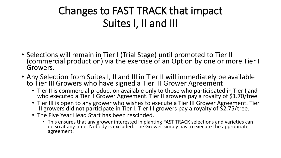#### Changes to FAST TRACK that impact Suites I, II and III

- Selections will remain in Tier I (Trial Stage) until promoted to Tier II (commercial production) via the exercise of an Option by one or more Tier I Growers.
- Any Selection from Suites I, II and III in Tier II will immediately be available to Tier III Growers who have signed a Tier III Grower Agreement
	- Tier II is commercial production available only to those who participated in Tier I and who executed a Tier II Grower Agreement. Tier II growers pay a royalty of \$1.70/tree
	- Tier III is open to any grower who wishes to execute a Tier III Grower Agreement. Tier III growers did not participate in Tier I. Tier III growers pay a royalty of  $\S$ 2.75/tree.
	- The Five Year Head Start has been rescinded.
		- This ensures that any grower interested in planting FAST TRACK selections and varieties can do so at any time. Nobody is excluded. The Grower simply has to execute the appropriate agreement.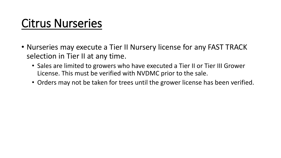## Citrus Nurseries

- Nurseries may execute a Tier II Nursery license for any FAST TRACK selection in Tier II at any time.
	- Sales are limited to growers who have executed a Tier II or Tier III Grower License. This must be verified with NVDMC prior to the sale.
	- Orders may not be taken for trees until the grower license has been verified.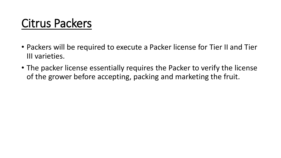## Citrus Packers

- Packers will be required to execute a Packer license for Tier II and Tier III varieties.
- The packer license essentially requires the Packer to verify the license of the grower before accepting, packing and marketing the fruit.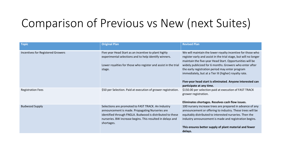### Comparison of Previous vs New (next Suites)

| <b>Topic</b>                      | <b>Original Plan</b>                                                                                                                                                                                                                           | <b>Revised Plan</b>                                                                                                                                                                                                                                                                                                                                                                                                                                        |
|-----------------------------------|------------------------------------------------------------------------------------------------------------------------------------------------------------------------------------------------------------------------------------------------|------------------------------------------------------------------------------------------------------------------------------------------------------------------------------------------------------------------------------------------------------------------------------------------------------------------------------------------------------------------------------------------------------------------------------------------------------------|
| Incentives for Registered Growers | Five year Head Start as an incentive to plant highly<br>experimental selections and to help identify winners.<br>Lower royalties for those who register and assist in the trial<br>stage.                                                      | We will maintain the lower royalty incentive for those who<br>register early and assist in the trial stage, but will no longer<br>maintain the five-year Head Start. Opportunities will be<br>widely publicized for 6 months. Growers who enter after<br>the early registration period may enter program<br>immediately, but at a Tier III (higher) royalty rate.<br>Five-year head start is eliminated. Anyone interested can<br>participate at any time. |
| <b>Registration Fees</b>          | \$50 per Selection. Paid at execution of grower registration.                                                                                                                                                                                  | \$150.00 per selection paid at execution of FAST TRACK<br>grower registration.<br>Eliminates shortages. Resolves cash flow issues.                                                                                                                                                                                                                                                                                                                         |
| <b>Budwood Supply</b>             | Selections are promoted to FAST TRACK. An Industry<br>announcement is made. Propagating Nurseries are<br>identified through FNGLA. Budwood is distributed to these<br>nurseries. BW increase begins. This resulted in delays and<br>shortages. | 100 nursery increase trees are prepared in advance of any<br>announcement or offering to industry. These trees will be<br>equitably distributed to interested nurseries. Then the<br>industry announcement is made and registration begins.<br>This ensures better supply of plant material and fewer<br>delays.                                                                                                                                           |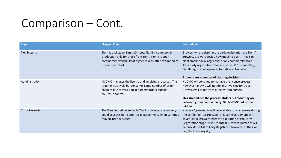#### Comparison – Cont.

| <b>Topic</b>            | <b>Original Plan</b>                                                                                                                                                                                           | <b>Revised Plan</b>                                                                                                                                                                                                                                                                                                                                                  |
|-------------------------|----------------------------------------------------------------------------------------------------------------------------------------------------------------------------------------------------------------|----------------------------------------------------------------------------------------------------------------------------------------------------------------------------------------------------------------------------------------------------------------------------------------------------------------------------------------------------------------------|
| Tier System.            | Tier I is trial stage. Limit 30 trees. Tier II is commercial<br>production only for those from Tier I. Tier III is open<br>commercial availability at higher royalty after expiration of<br>5-year head start. | Growers who register in the early registration are Tier I/II<br>growers. Growers decide how much to plant. They can<br>plant small trial, a larger trial or any commercial scale.<br>After early registration deadline passes (1 <sup>st</sup> six months),<br>Tier III registration opens automatically. No delay.<br>Growers are in control of planting decisions. |
| Administration          | NVDMC manages the license and invoicing processes. This<br>is administratively burdensome. Large number of order<br>changes due to variation in nursery orders outside<br>NVDMC's control.                     | NVDMC will continue to manage the license process.<br>However, NVDMC will not do any invoicing for trees.<br>Growers will order trees directly from nursery.<br>This streamlines the process. Orders & Accounting are<br>between grower and nursery. Get NVDMC out of the<br>middle.                                                                                 |
| <b>Citrus Nurseries</b> | The Plan limited nurseries in Tier I. However, any nursery<br>could execute Tier II and Tier III agreements when varieties<br>moved into that stage.                                                           | Nursery Agreements will be available to any nursery during<br>the combined Tier I/II stage. This same agreement will<br>cover Tier III growers after the expiration of the Early<br>Registration stage (first 6 months). Licensed nurseries will<br>be provided a list of Early Registered Growers, as they will<br>pay the lower royalty.                           |